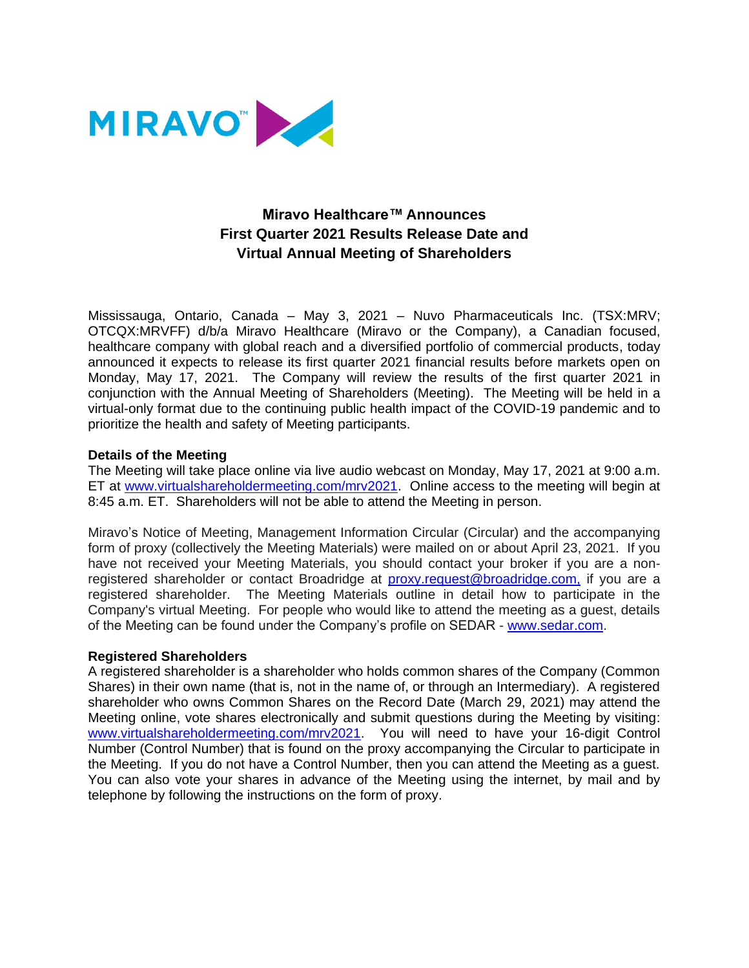

# **Miravo Healthcare™ Announces First Quarter 2021 Results Release Date and Virtual Annual Meeting of Shareholders**

Mississauga, Ontario, Canada – May 3, 2021 – Nuvo Pharmaceuticals Inc. (TSX:MRV; OTCQX:MRVFF) d/b/a Miravo Healthcare (Miravo or the Company), a Canadian focused, healthcare company with global reach and a diversified portfolio of commercial products, today announced it expects to release its first quarter 2021 financial results before markets open on Monday, May 17, 2021. The Company will review the results of the first quarter 2021 in conjunction with the Annual Meeting of Shareholders (Meeting). The Meeting will be held in a virtual-only format due to the continuing public health impact of the COVID-19 pandemic and to prioritize the health and safety of Meeting participants.

# **Details of the Meeting**

The Meeting will take place online via live audio webcast on Monday, May 17, 2021 at 9:00 a.m. ET at [www.virtualshareholdermeeting.com/mrv2021.](http://www.virtualshareholdermeeting.com/mrv2021) Online access to the meeting will begin at 8:45 a.m. ET. Shareholders will not be able to attend the Meeting in person.

Miravo's Notice of Meeting, Management Information Circular (Circular) and the accompanying form of proxy (collectively the Meeting Materials) were mailed on or about April 23, 2021. If you have not received your Meeting Materials, you should contact your broker if you are a nonregistered shareholder or contact Broadridge at [proxy.request@broadridge.com,](mailto:proxy.request@broadridge.com,) if you are a registered shareholder. The Meeting Materials outline in detail how to participate in the Company's virtual Meeting. For people who would like to attend the meeting as a guest, details of the Meeting can be found under the Company's profile on SEDAR - [www.sedar.com.](https://www.sedar.com/)

## **Registered Shareholders**

A registered shareholder is a shareholder who holds common shares of the Company (Common Shares) in their own name (that is, not in the name of, or through an Intermediary). A registered shareholder who owns Common Shares on the Record Date (March 29, 2021) may attend the Meeting online, vote shares electronically and submit questions during the Meeting by visiting: [www.virtualshareholdermeeting.com/mrv2021.](http://www.virtualshareholdermeeting.com/mrv2021) You will need to have your 16-digit Control Number (Control Number) that is found on the proxy accompanying the Circular to participate in the Meeting. If you do not have a Control Number, then you can attend the Meeting as a guest. You can also vote your shares in advance of the Meeting using the internet, by mail and by telephone by following the instructions on the form of proxy.